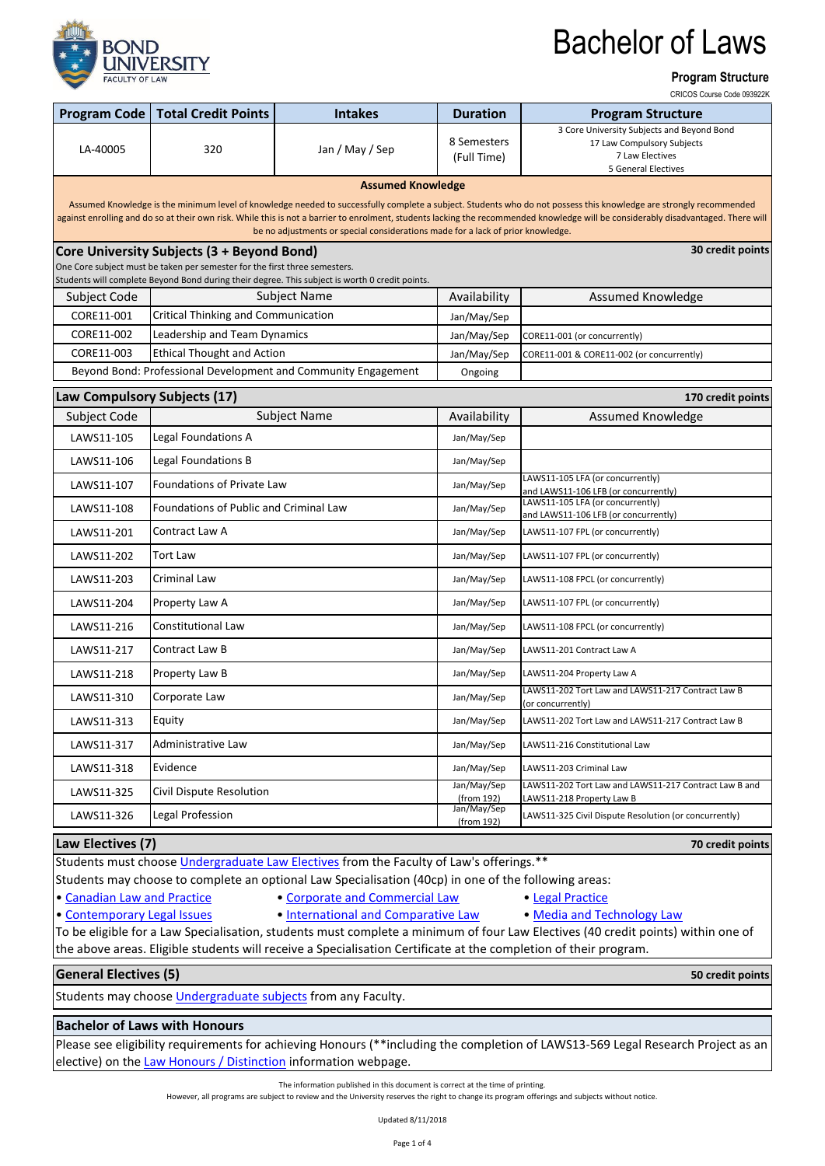

### **Program Structure**

|                              |                                                                            |                                                                                                |                            | CRICOS Course Code 093922K                                                                                                                                                                                                                                                                                                                               |
|------------------------------|----------------------------------------------------------------------------|------------------------------------------------------------------------------------------------|----------------------------|----------------------------------------------------------------------------------------------------------------------------------------------------------------------------------------------------------------------------------------------------------------------------------------------------------------------------------------------------------|
| <b>Program Code</b>          | <b>Total Credit Points</b>                                                 | <b>Intakes</b>                                                                                 | <b>Duration</b>            | <b>Program Structure</b>                                                                                                                                                                                                                                                                                                                                 |
| LA-40005                     | 320                                                                        | Jan / May / Sep                                                                                | 8 Semesters<br>(Full Time) | 3 Core University Subjects and Beyond Bond<br>17 Law Compulsory Subjects<br><b>7 Law Electives</b><br>5 General Electives                                                                                                                                                                                                                                |
|                              |                                                                            | <b>Assumed Knowledge</b>                                                                       |                            |                                                                                                                                                                                                                                                                                                                                                          |
|                              |                                                                            | be no adjustments or special considerations made for a lack of prior knowledge.                |                            | Assumed Knowledge is the minimum level of knowledge needed to successfully complete a subject. Students who do not possess this knowledge are strongly recommended<br>against enrolling and do so at their own risk. While this is not a barrier to enrolment, students lacking the recommended knowledge will be considerably disadvantaged. There will |
|                              | Core University Subjects (3 + Beyond Bond)                                 |                                                                                                |                            | 30 credit points                                                                                                                                                                                                                                                                                                                                         |
|                              | One Core subject must be taken per semester for the first three semesters. | Students will complete Beyond Bond during their degree. This subject is worth 0 credit points. |                            |                                                                                                                                                                                                                                                                                                                                                          |
| Subject Code                 |                                                                            | Subject Name                                                                                   | Availability               | <b>Assumed Knowledge</b>                                                                                                                                                                                                                                                                                                                                 |
| CORE11-001                   | Critical Thinking and Communication                                        |                                                                                                | Jan/May/Sep                |                                                                                                                                                                                                                                                                                                                                                          |
| CORE11-002                   | Leadership and Team Dynamics                                               |                                                                                                | Jan/May/Sep                | CORE11-001 (or concurrently)                                                                                                                                                                                                                                                                                                                             |
| CORE11-003                   | <b>Ethical Thought and Action</b>                                          |                                                                                                | Jan/May/Sep                | CORE11-001 & CORE11-002 (or concurrently)                                                                                                                                                                                                                                                                                                                |
|                              |                                                                            | Beyond Bond: Professional Development and Community Engagement                                 | Ongoing                    |                                                                                                                                                                                                                                                                                                                                                          |
| Law Compulsory Subjects (17) |                                                                            |                                                                                                |                            | 170 credit points                                                                                                                                                                                                                                                                                                                                        |
| Subject Code                 |                                                                            | <b>Subject Name</b>                                                                            | Availability               | <b>Assumed Knowledge</b>                                                                                                                                                                                                                                                                                                                                 |
| LAWS11-105                   | Legal Foundations A                                                        |                                                                                                | Jan/May/Sep                |                                                                                                                                                                                                                                                                                                                                                          |
| LAWS11-106                   | Legal Foundations B                                                        |                                                                                                | Jan/May/Sep                |                                                                                                                                                                                                                                                                                                                                                          |
| LAWS11-107                   | <b>Foundations of Private Law</b>                                          |                                                                                                | Jan/May/Sep                | LAWS11-105 LFA (or concurrently)<br>and LAWS11-106 LFB (or concurrently)                                                                                                                                                                                                                                                                                 |
| LAWS11-108                   | <b>Foundations of Public and Criminal Law</b>                              |                                                                                                | Jan/May/Sep                | LAWS11-105 LFA (or concurrently)<br>and LAWS11-106 LFB (or concurrently)                                                                                                                                                                                                                                                                                 |
| LAWS11-201                   | <b>Contract Law A</b>                                                      |                                                                                                | Jan/May/Sep                | LAWS11-107 FPL (or concurrently)                                                                                                                                                                                                                                                                                                                         |
| LAWS11-202                   | <b>Tort Law</b>                                                            |                                                                                                | Jan/May/Sep                | LAWS11-107 FPL (or concurrently)                                                                                                                                                                                                                                                                                                                         |
| LAWS11-203                   | Criminal Law                                                               |                                                                                                | Jan/May/Sep                | LAWS11-108 FPCL (or concurrently)                                                                                                                                                                                                                                                                                                                        |
| LAWS11-204                   | Property Law A                                                             |                                                                                                | Jan/May/Sep                | LAWS11-107 FPL (or concurrently)                                                                                                                                                                                                                                                                                                                         |
| LAWS11-216                   | Constitutional Law                                                         |                                                                                                | Jan/May/Sep                | LAWS11-108 FPCL (or concurrently)                                                                                                                                                                                                                                                                                                                        |
| LAWS11-217                   | Contract Law B                                                             |                                                                                                | Jan/May/Sep                | LAWS11-201 Contract Law A                                                                                                                                                                                                                                                                                                                                |
| LAWS11-218                   | Property Law B                                                             |                                                                                                | Jan/May/Sep                | LAWS11-204 Property Law A                                                                                                                                                                                                                                                                                                                                |
| LAWS11-310                   | Corporate Law                                                              |                                                                                                | Jan/May/Sep                | LAWS11-202 Tort Law and LAWS11-217 Contract Law B<br>(or concurrently)                                                                                                                                                                                                                                                                                   |
| LAWS11-313                   | Equity                                                                     |                                                                                                | Jan/May/Sep                | LAWS11-202 Tort Law and LAWS11-217 Contract Law B                                                                                                                                                                                                                                                                                                        |
| LAWS11-317                   | Administrative Law                                                         |                                                                                                | Jan/May/Sep                | LAWS11-216 Constitutional Law                                                                                                                                                                                                                                                                                                                            |
| LAWS11-318                   | Evidence                                                                   |                                                                                                | Jan/May/Sep                | LAWS11-203 Criminal Law                                                                                                                                                                                                                                                                                                                                  |
| LAWS11-325                   | Civil Dispute Resolution                                                   |                                                                                                | Jan/May/Sep<br>(from 192)  | LAWS11-202 Tort Law and LAWS11-217 Contract Law B and<br>LAWS11-218 Property Law B                                                                                                                                                                                                                                                                       |
| LAWS11-326                   | Legal Profession                                                           |                                                                                                | Jan/May/Sep<br>(from 192)  | LAWS11-325 Civil Dispute Resolution (or concurrently)                                                                                                                                                                                                                                                                                                    |
| Law Electives (7)            |                                                                            |                                                                                                |                            | 70 credit points                                                                                                                                                                                                                                                                                                                                         |

Students must choose *Undergraduate Law Electives* from the Faculty of Law's offerings.\*\*

Students may choose to complete an optional Law Specialisation (40cp) in one of the following areas:

[•](http://bond.edu.au/subjects/current-law-specialisations-undergraduate) [Canadian Law and Practice](http://bond.edu.au/subjects/current-law-specialisations-undergraduate) • [Corporate and Commercial Law](http://bond.edu.au/subjects/current-law-specialisations-undergraduate) [•](http://bond.edu.au/subjects/current-law-specialisations-undergraduate) [Legal Practice](http://bond.edu.au/subjects/current-law-specialisations-undergraduate)

[•](http://bond.edu.au/subjects/current-law-specialisations-undergraduate) [Contemporary Legal Issues](http://bond.edu.au/subjects/current-law-specialisations-undergraduate) • [International and Comparative Law](http://bond.edu.au/subjects/current-law-specialisations-undergraduate) [•](http://bond.edu.au/subjects/current-law-specialisations-undergraduate) [Media and Technology Law](http://bond.edu.au/subjects/current-law-specialisations-undergraduate) To be eligible for a Law Specialisation, students must complete a minimum of four Law Electives (40 credit points) within one of the above areas. Eligible students will receive a Specialisation Certificate at the completion of their program.

### **General Electives (5)**

Students may choose *Undergraduate subjects* from any Faculty.

### **Bachelor of Laws with Honours**

[Please see eligibil](https://bond.edu.au/law-honours-distinction-information)ity requirements for achieving Honours (\*\*including the completion of LAWS13-569 Legal Research Project as an [elective\) on the Law Honours / Distinction](https://bond.edu.au/law-honours-distinction-information) information webpage.

The information published in this document is correct at the time of printing.

However, all programs are subject to review and the University reserves the right to change its program offerings and subjects without notice.

**50 credit points**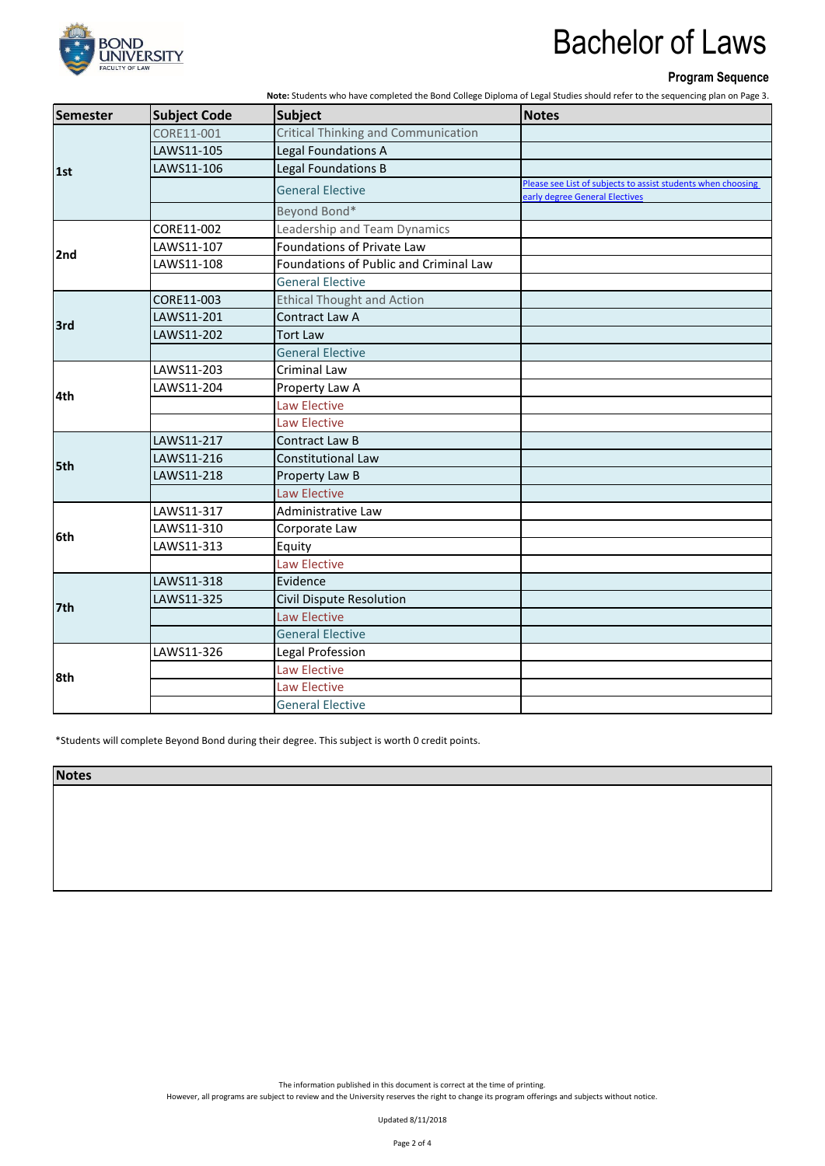

### **Program Sequence**

**Note:** Students who have completed the Bond College Diploma of Legal Studies should refer to the sequencing plan on Page 3.

| Semester | <b>Subject Code</b> | <b>Subject</b>                             | <b>Notes</b>                                                                                   |
|----------|---------------------|--------------------------------------------|------------------------------------------------------------------------------------------------|
| 1st      | CORE11-001          | <b>Critical Thinking and Communication</b> |                                                                                                |
|          | LAWS11-105          | Legal Foundations A                        |                                                                                                |
|          | LAWS11-106          | Legal Foundations B                        |                                                                                                |
|          |                     | <b>General Elective</b>                    | Please see List of subjects to assist students when choosing<br>early degree General Electives |
|          |                     | Beyond Bond*                               |                                                                                                |
|          | CORE11-002          | Leadership and Team Dynamics               |                                                                                                |
| 2nd      | LAWS11-107          | Foundations of Private Law                 |                                                                                                |
|          | LAWS11-108          | Foundations of Public and Criminal Law     |                                                                                                |
|          |                     | <b>General Elective</b>                    |                                                                                                |
|          | CORE11-003          | <b>Ethical Thought and Action</b>          |                                                                                                |
|          | LAWS11-201          | Contract Law A                             |                                                                                                |
| 3rd      | LAWS11-202          | <b>Tort Law</b>                            |                                                                                                |
|          |                     | <b>General Elective</b>                    |                                                                                                |
|          | LAWS11-203          | Criminal Law                               |                                                                                                |
|          | LAWS11-204          | Property Law A                             |                                                                                                |
| 4th      |                     | <b>Law Elective</b>                        |                                                                                                |
|          |                     | <b>Law Elective</b>                        |                                                                                                |
|          | LAWS11-217          | Contract Law B                             |                                                                                                |
|          | LAWS11-216          | <b>Constitutional Law</b>                  |                                                                                                |
| 5th      | LAWS11-218          | Property Law B                             |                                                                                                |
|          |                     | <b>Law Elective</b>                        |                                                                                                |
|          | LAWS11-317          | Administrative Law                         |                                                                                                |
|          | LAWS11-310          | Corporate Law                              |                                                                                                |
| 6th      | LAWS11-313          | Equity                                     |                                                                                                |
|          |                     | <b>Law Elective</b>                        |                                                                                                |
| 7th      | LAWS11-318          | Evidence                                   |                                                                                                |
|          | LAWS11-325          | <b>Civil Dispute Resolution</b>            |                                                                                                |
|          |                     | <b>Law Elective</b>                        |                                                                                                |
|          |                     | <b>General Elective</b>                    |                                                                                                |
| 8th      | LAWS11-326          | Legal Profession                           |                                                                                                |
|          |                     | <b>Law Elective</b>                        |                                                                                                |
|          |                     | <b>Law Elective</b>                        |                                                                                                |
|          |                     | <b>General Elective</b>                    |                                                                                                |

\*Students will complete Beyond Bond during their degree. This subject is worth 0 credit points.

**Notes**

The information published in this document is correct at the time of printing.

However, all programs are subject to review and the University reserves the right to change its program offerings and subjects without notice.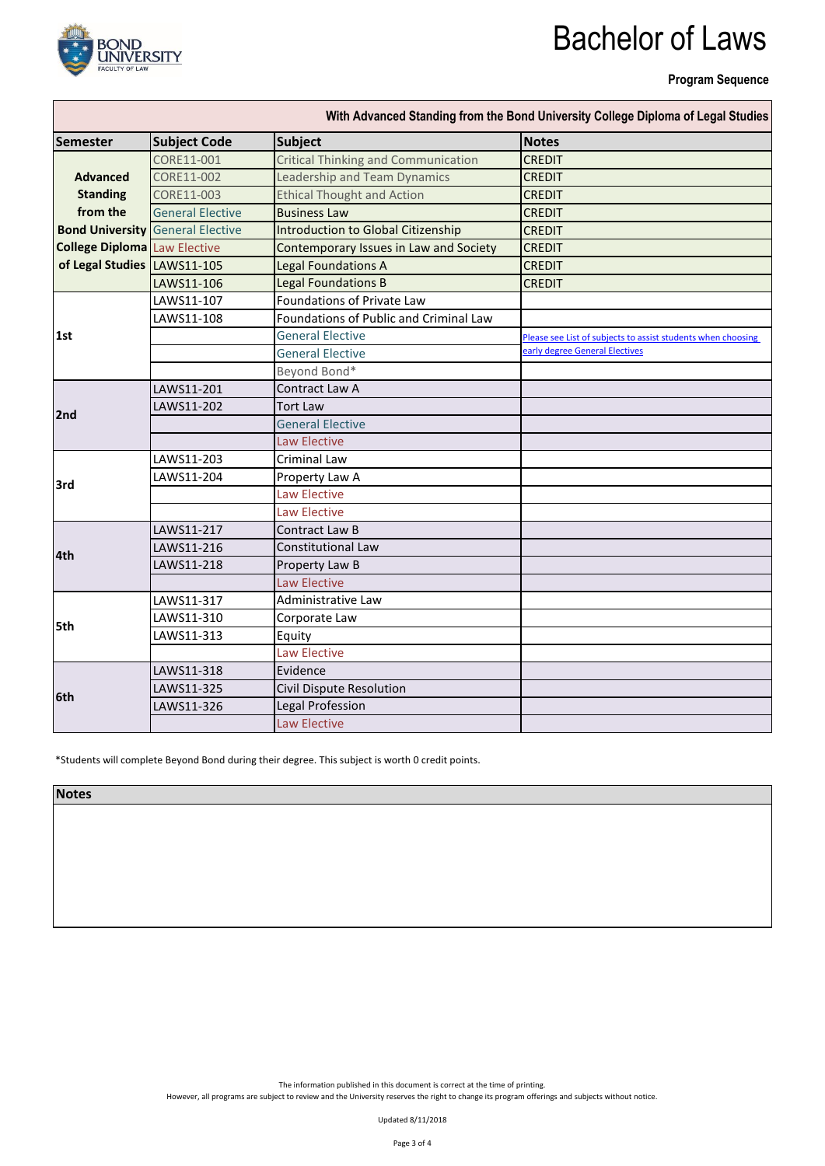

**Program Sequence**

| <b>Semester</b>                     | <b>Subject Code</b>     | <b>Subject</b>                             | <b>Notes</b>                                                 |
|-------------------------------------|-------------------------|--------------------------------------------|--------------------------------------------------------------|
|                                     | CORE11-001              | <b>Critical Thinking and Communication</b> | <b>CREDIT</b>                                                |
| <b>Advanced</b>                     | CORE11-002              | Leadership and Team Dynamics               | <b>CREDIT</b>                                                |
| <b>Standing</b>                     | CORE11-003              | <b>Ethical Thought and Action</b>          | <b>CREDIT</b>                                                |
| from the                            | <b>General Elective</b> | <b>Business Law</b>                        | <b>CREDIT</b>                                                |
| <b>Bond University</b>              | <b>General Elective</b> | <b>Introduction to Global Citizenship</b>  | <b>CREDIT</b>                                                |
| <b>College Diploma</b> Law Elective |                         | Contemporary Issues in Law and Society     | <b>CREDIT</b>                                                |
| of Legal Studies LAWS11-105         |                         | <b>Legal Foundations A</b>                 | <b>CREDIT</b>                                                |
|                                     | LAWS11-106              | <b>Legal Foundations B</b>                 | <b>CREDIT</b>                                                |
| 1st                                 | LAWS11-107              | <b>Foundations of Private Law</b>          |                                                              |
|                                     | LAWS11-108              | Foundations of Public and Criminal Law     |                                                              |
|                                     |                         | <b>General Elective</b>                    | Please see List of subjects to assist students when choosing |
|                                     |                         | <b>General Elective</b>                    | early degree General Electives                               |
|                                     |                         | Beyond Bond*                               |                                                              |
|                                     | LAWS11-201              | Contract Law A                             |                                                              |
| 2nd                                 | LAWS11-202              | <b>Tort Law</b>                            |                                                              |
|                                     |                         | <b>General Elective</b>                    |                                                              |
|                                     |                         | <b>Law Elective</b>                        |                                                              |
|                                     | LAWS11-203              | <b>Criminal Law</b>                        |                                                              |
| 3rd                                 | LAWS11-204              | Property Law A                             |                                                              |
|                                     |                         | <b>Law Elective</b>                        |                                                              |
|                                     |                         | Law Elective                               |                                                              |
|                                     | LAWS11-217              | <b>Contract Law B</b>                      |                                                              |
| 4th                                 | LAWS11-216              | <b>Constitutional Law</b>                  |                                                              |
|                                     | LAWS11-218              | Property Law B                             |                                                              |
|                                     |                         | <b>Law Elective</b>                        |                                                              |
|                                     | LAWS11-317              | Administrative Law                         |                                                              |
| 5th                                 | LAWS11-310              | Corporate Law                              |                                                              |
|                                     | LAWS11-313              | Equity                                     |                                                              |
|                                     |                         | Law Elective                               |                                                              |
| 6th                                 | LAWS11-318              | Evidence                                   |                                                              |
|                                     | LAWS11-325              | Civil Dispute Resolution                   |                                                              |
|                                     | LAWS11-326              | Legal Profession                           |                                                              |
|                                     |                         | <b>Law Elective</b>                        |                                                              |

\*Students will complete Beyond Bond during their degree. This subject is worth 0 credit points.

**Notes**

The information published in this document is correct at the time of printing.

However, all programs are subject to review and the University reserves the right to change its program offerings and subjects without notice.

Updated 8/11/2018